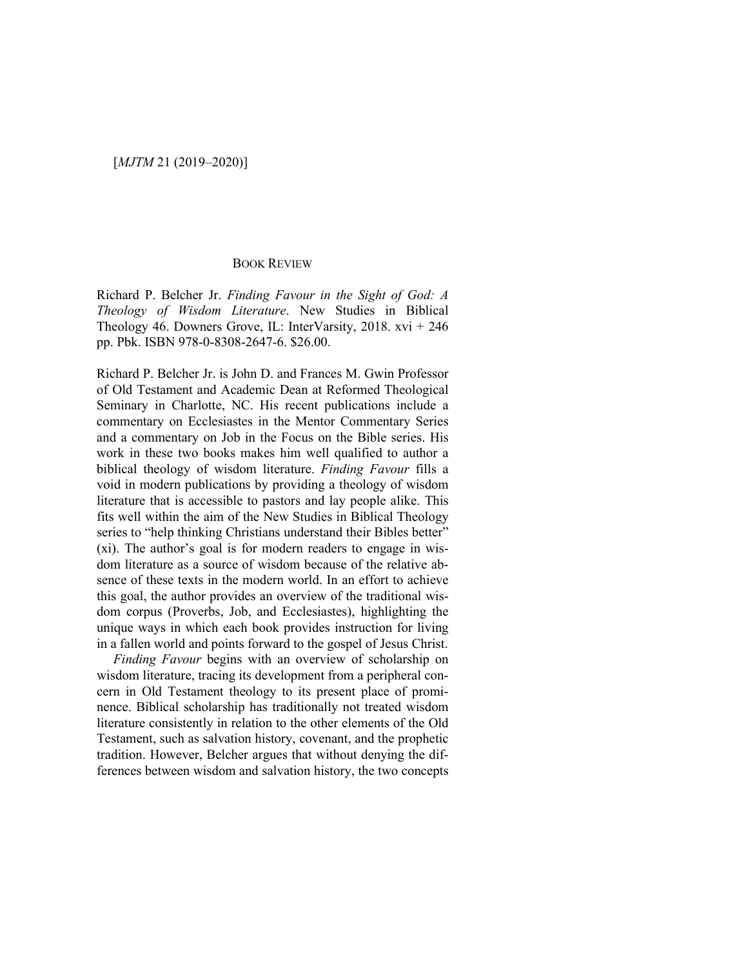## [*MJTM* 21 (2019–2020)]

## BOOK REVIEW

Richard P. Belcher Jr. *Finding Favour in the Sight of God: A Theology of Wisdom Literature*. New Studies in Biblical Theology 46. Downers Grove, IL: InterVarsity, 2018.  $xvi + 246$ pp. Pbk. ISBN 978-0-8308-2647-6. \$26.00.

Richard P. Belcher Jr. is John D. and Frances M. Gwin Professor of Old Testament and Academic Dean at Reformed Theological Seminary in Charlotte, NC. His recent publications include a commentary on Ecclesiastes in the Mentor Commentary Series and a commentary on Job in the Focus on the Bible series. His work in these two books makes him well qualified to author a biblical theology of wisdom literature. *Finding Favour* fills a void in modern publications by providing a theology of wisdom literature that is accessible to pastors and lay people alike. This fits well within the aim of the New Studies in Biblical Theology series to "help thinking Christians understand their Bibles better" (xi). The author's goal is for modern readers to engage in wisdom literature as a source of wisdom because of the relative absence of these texts in the modern world. In an effort to achieve this goal, the author provides an overview of the traditional wisdom corpus (Proverbs, Job, and Ecclesiastes), highlighting the unique ways in which each book provides instruction for living in a fallen world and points forward to the gospel of Jesus Christ.

*Finding Favour* begins with an overview of scholarship on wisdom literature, tracing its development from a peripheral concern in Old Testament theology to its present place of prominence. Biblical scholarship has traditionally not treated wisdom literature consistently in relation to the other elements of the Old Testament, such as salvation history, covenant, and the prophetic tradition. However, Belcher argues that without denying the differences between wisdom and salvation history, the two concepts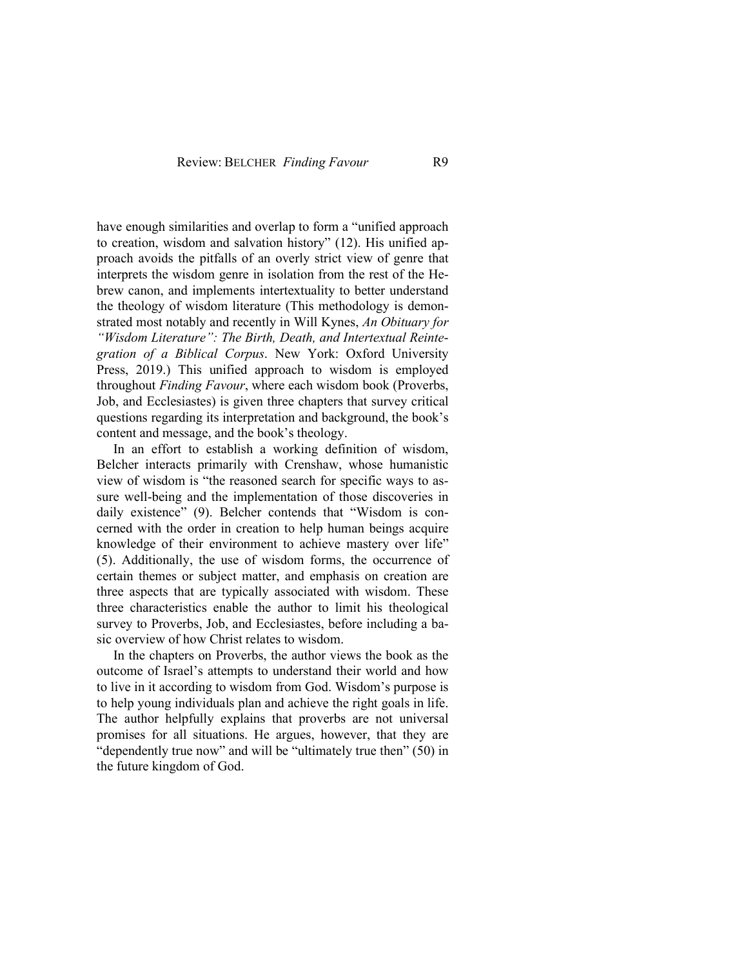have enough similarities and overlap to form a "unified approach to creation, wisdom and salvation history" (12). His unified approach avoids the pitfalls of an overly strict view of genre that interprets the wisdom genre in isolation from the rest of the Hebrew canon, and implements intertextuality to better understand the theology of wisdom literature (This methodology is demonstrated most notably and recently in Will Kynes, *An Obituary for "Wisdom Literature": The Birth, Death, and Intertextual Reintegration of a Biblical Corpus*. New York: Oxford University Press, 2019.) This unified approach to wisdom is employed throughout *Finding Favour*, where each wisdom book (Proverbs, Job, and Ecclesiastes) is given three chapters that survey critical questions regarding its interpretation and background, the book's content and message, and the book's theology.

In an effort to establish a working definition of wisdom, Belcher interacts primarily with Crenshaw, whose humanistic view of wisdom is "the reasoned search for specific ways to assure well-being and the implementation of those discoveries in daily existence" (9). Belcher contends that "Wisdom is concerned with the order in creation to help human beings acquire knowledge of their environment to achieve mastery over life" (5). Additionally, the use of wisdom forms, the occurrence of certain themes or subject matter, and emphasis on creation are three aspects that are typically associated with wisdom. These three characteristics enable the author to limit his theological survey to Proverbs, Job, and Ecclesiastes, before including a basic overview of how Christ relates to wisdom.

In the chapters on Proverbs, the author views the book as the outcome of Israel's attempts to understand their world and how to live in it according to wisdom from God. Wisdom's purpose is to help young individuals plan and achieve the right goals in life. The author helpfully explains that proverbs are not universal promises for all situations. He argues, however, that they are "dependently true now" and will be "ultimately true then" (50) in the future kingdom of God.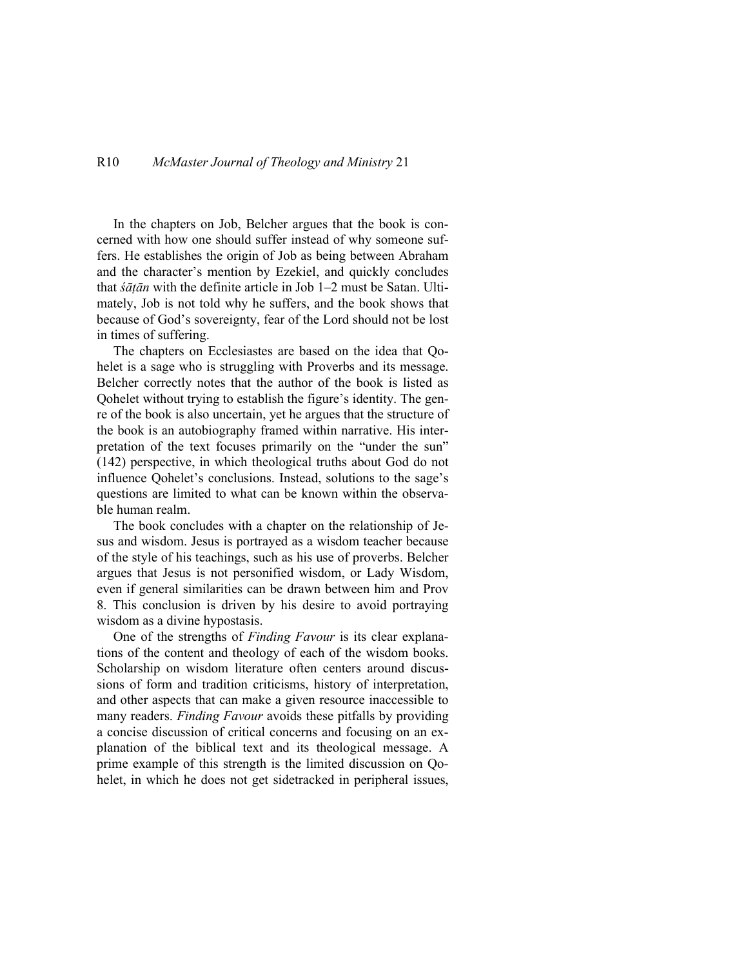In the chapters on Job, Belcher argues that the book is concerned with how one should suffer instead of why someone suffers. He establishes the origin of Job as being between Abraham and the character's mention by Ezekiel, and quickly concludes that *śāṭān* with the definite article in Job 1–2 must be Satan. Ultimately, Job is not told why he suffers, and the book shows that because of God's sovereignty, fear of the Lord should not be lost in times of suffering.

The chapters on Ecclesiastes are based on the idea that Qohelet is a sage who is struggling with Proverbs and its message. Belcher correctly notes that the author of the book is listed as Qohelet without trying to establish the figure's identity. The genre of the book is also uncertain, yet he argues that the structure of the book is an autobiography framed within narrative. His interpretation of the text focuses primarily on the "under the sun" (142) perspective, in which theological truths about God do not influence Qohelet's conclusions. Instead, solutions to the sage's questions are limited to what can be known within the observable human realm.

The book concludes with a chapter on the relationship of Jesus and wisdom. Jesus is portrayed as a wisdom teacher because of the style of his teachings, such as his use of proverbs. Belcher argues that Jesus is not personified wisdom, or Lady Wisdom, even if general similarities can be drawn between him and Prov 8. This conclusion is driven by his desire to avoid portraying wisdom as a divine hypostasis.

One of the strengths of *Finding Favour* is its clear explanations of the content and theology of each of the wisdom books. Scholarship on wisdom literature often centers around discussions of form and tradition criticisms, history of interpretation, and other aspects that can make a given resource inaccessible to many readers. *Finding Favour* avoids these pitfalls by providing a concise discussion of critical concerns and focusing on an explanation of the biblical text and its theological message. A prime example of this strength is the limited discussion on Qohelet, in which he does not get sidetracked in peripheral issues,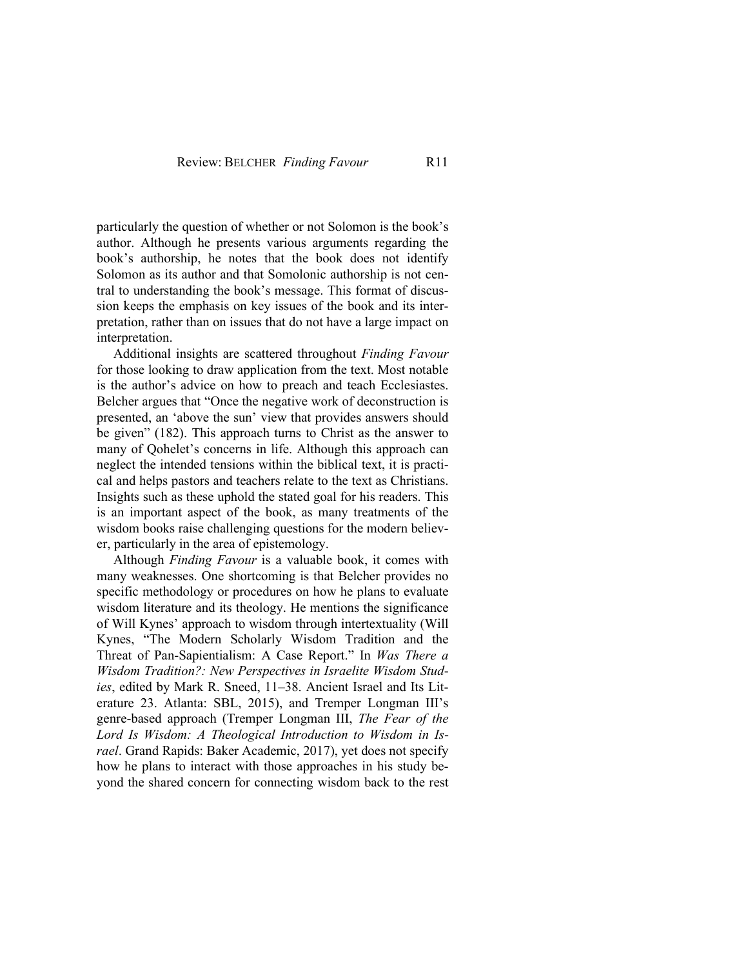particularly the question of whether or not Solomon is the book's author. Although he presents various arguments regarding the book's authorship, he notes that the book does not identify Solomon as its author and that Somolonic authorship is not central to understanding the book's message. This format of discussion keeps the emphasis on key issues of the book and its interpretation, rather than on issues that do not have a large impact on interpretation.

Additional insights are scattered throughout *Finding Favour* for those looking to draw application from the text. Most notable is the author's advice on how to preach and teach Ecclesiastes. Belcher argues that "Once the negative work of deconstruction is presented, an 'above the sun' view that provides answers should be given" (182). This approach turns to Christ as the answer to many of Qohelet's concerns in life. Although this approach can neglect the intended tensions within the biblical text, it is practical and helps pastors and teachers relate to the text as Christians. Insights such as these uphold the stated goal for his readers. This is an important aspect of the book, as many treatments of the wisdom books raise challenging questions for the modern believer, particularly in the area of epistemology.

Although *Finding Favour* is a valuable book, it comes with many weaknesses. One shortcoming is that Belcher provides no specific methodology or procedures on how he plans to evaluate wisdom literature and its theology. He mentions the significance of Will Kynes' approach to wisdom through intertextuality (Will Kynes, "The Modern Scholarly Wisdom Tradition and the Threat of Pan-Sapientialism: A Case Report." In *Was There a Wisdom Tradition?: New Perspectives in Israelite Wisdom Studies*, edited by Mark R. Sneed, 11–38. Ancient Israel and Its Literature 23. Atlanta: SBL, 2015), and Tremper Longman III's genre-based approach (Tremper Longman III, *The Fear of the Lord Is Wisdom: A Theological Introduction to Wisdom in Israel*. Grand Rapids: Baker Academic, 2017), yet does not specify how he plans to interact with those approaches in his study beyond the shared concern for connecting wisdom back to the rest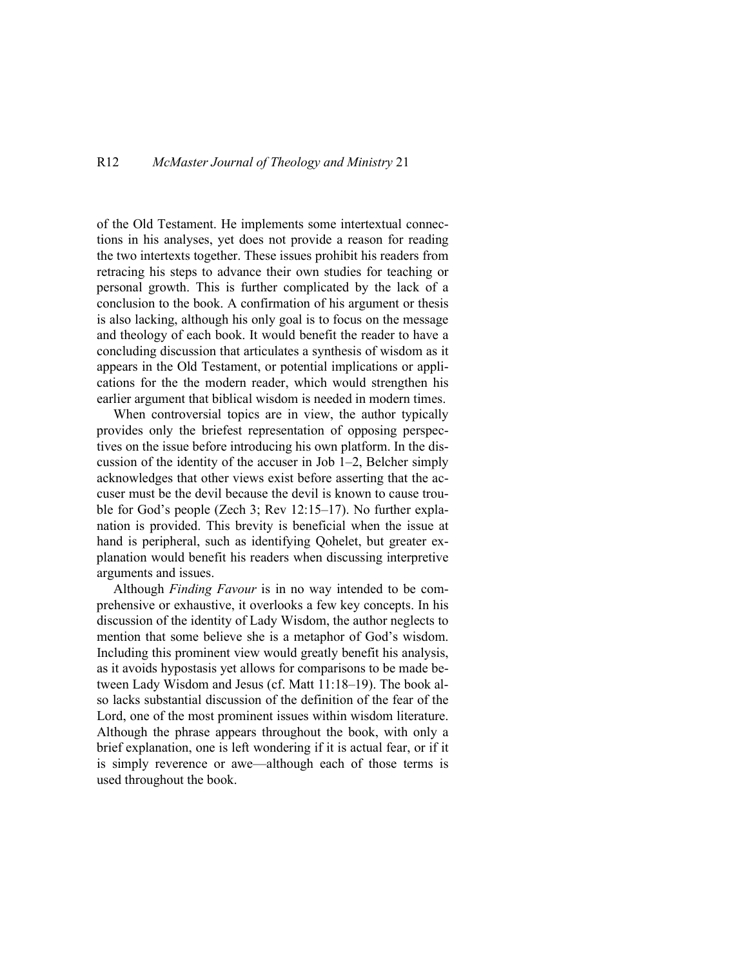of the Old Testament. He implements some intertextual connections in his analyses, yet does not provide a reason for reading the two intertexts together. These issues prohibit his readers from retracing his steps to advance their own studies for teaching or personal growth. This is further complicated by the lack of a conclusion to the book. A confirmation of his argument or thesis is also lacking, although his only goal is to focus on the message and theology of each book. It would benefit the reader to have a concluding discussion that articulates a synthesis of wisdom as it appears in the Old Testament, or potential implications or applications for the the modern reader, which would strengthen his earlier argument that biblical wisdom is needed in modern times.

When controversial topics are in view, the author typically provides only the briefest representation of opposing perspectives on the issue before introducing his own platform. In the discussion of the identity of the accuser in Job 1–2, Belcher simply acknowledges that other views exist before asserting that the accuser must be the devil because the devil is known to cause trouble for God's people (Zech 3; Rev 12:15–17). No further explanation is provided. This brevity is beneficial when the issue at hand is peripheral, such as identifying Qohelet, but greater explanation would benefit his readers when discussing interpretive arguments and issues.

Although *Finding Favour* is in no way intended to be comprehensive or exhaustive, it overlooks a few key concepts. In his discussion of the identity of Lady Wisdom, the author neglects to mention that some believe she is a metaphor of God's wisdom. Including this prominent view would greatly benefit his analysis, as it avoids hypostasis yet allows for comparisons to be made between Lady Wisdom and Jesus (cf. Matt 11:18–19). The book also lacks substantial discussion of the definition of the fear of the Lord, one of the most prominent issues within wisdom literature. Although the phrase appears throughout the book, with only a brief explanation, one is left wondering if it is actual fear, or if it is simply reverence or awe—although each of those terms is used throughout the book.